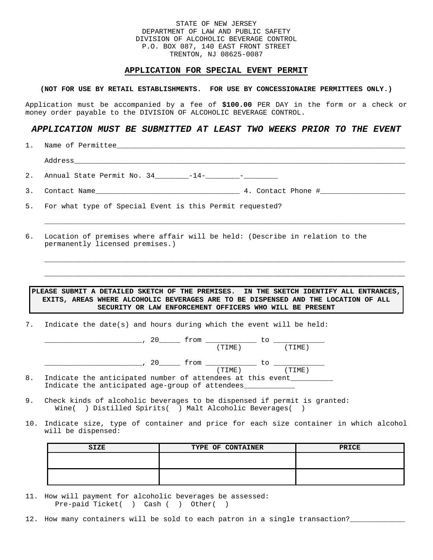## STATE OF NEW JERSEY DEPARTMENT OF LAW AND PUBLIC SAFETY DIVISION OF ALCOHOLIC BEVERAGE CONTROL P.O. BOX 087, 140 EAST FRONT STREET TRENTON, NJ 08625-0087

#### **APPLICATION FOR SPECIAL EVENT PERMIT**

## **(NOT FOR USE BY RETAIL ESTABLISHMENTS. FOR USE BY CONCESSIONAIRE PERMITTEES ONLY.)**

Application must be accompanied by a fee of **\$100.00** PER DAY in the form or a check or money order payable to the DIVISION OF ALCOHOLIC BEVERAGE CONTROL.

# *APPLICATION MUST BE SUBMITTED AT LEAST TWO WEEKS PRIOR TO THE EVENT*

1. Name of Permittee

Address\_\_\_\_\_\_\_\_\_\_\_\_\_\_\_\_\_\_\_\_\_\_\_\_\_\_\_\_\_\_\_\_\_\_\_\_\_\_\_\_\_\_\_\_\_\_\_\_\_\_\_\_\_\_\_\_\_\_\_\_\_\_\_\_\_\_\_\_\_\_\_\_\_\_\_\_\_\_

2. Annual State Permit No. 34\_\_\_\_\_\_\_\_-14-\_\_\_\_\_\_\_\_-\_\_\_\_

| <u>.</u> | Name<br>Contact |  |  | wurdcu | Phone |  |
|----------|-----------------|--|--|--------|-------|--|
|----------|-----------------|--|--|--------|-------|--|

5. For what type of Special Event is this Permit requested?

6. Location of premises where affair will be held: (Describe in relation to the permanently licensed premises.)

# **PLEASE SUBMIT A DETAILED SKETCH OF THE PREMISES. IN THE SKETCH IDENTIFY ALL ENTRANCES, EXITS, AREAS WHERE ALCOHOLIC BEVERAGES ARE TO BE DISPENSED AND THE LOCATION OF ALL SECURITY OR LAW ENFORCEMENT OFFICERS WHO WILL BE PRESENT**

 $\_$  ,  $\_$  ,  $\_$  ,  $\_$  ,  $\_$  ,  $\_$  ,  $\_$  ,  $\_$  ,  $\_$  ,  $\_$  ,  $\_$  ,  $\_$  ,  $\_$  ,  $\_$  ,  $\_$  ,  $\_$  ,  $\_$  ,  $\_$  ,  $\_$  ,  $\_$  ,  $\_$  ,  $\_$  ,  $\_$  ,  $\_$  ,  $\_$  ,  $\_$  ,  $\_$  ,  $\_$  ,  $\_$  ,  $\_$  ,  $\_$  ,  $\_$  ,  $\_$  ,  $\_$  ,  $\_$  ,  $\_$  ,  $\_$  ,

 $\_$  ,  $\_$  ,  $\_$  ,  $\_$  ,  $\_$  ,  $\_$  ,  $\_$  ,  $\_$  ,  $\_$  ,  $\_$  ,  $\_$  ,  $\_$  ,  $\_$  ,  $\_$  ,  $\_$  ,  $\_$  ,  $\_$  ,  $\_$  ,  $\_$  ,  $\_$  ,  $\_$  ,  $\_$  ,  $\_$  ,  $\_$  ,  $\_$  ,  $\_$  ,  $\_$  ,  $\_$  ,  $\_$  ,  $\_$  ,  $\_$  ,  $\_$  ,  $\_$  ,  $\_$  ,  $\_$  ,  $\_$  ,  $\_$  ,

 $\_$  ,  $\_$  ,  $\_$  ,  $\_$  ,  $\_$  ,  $\_$  ,  $\_$  ,  $\_$  ,  $\_$  ,  $\_$  ,  $\_$  ,  $\_$  ,  $\_$  ,  $\_$  ,  $\_$  ,  $\_$  ,  $\_$  ,  $\_$  ,  $\_$  ,  $\_$  ,  $\_$  ,  $\_$  ,  $\_$  ,  $\_$  ,  $\_$  ,  $\_$  ,  $\_$  ,  $\_$  ,  $\_$  ,  $\_$  ,  $\_$  ,  $\_$  ,  $\_$  ,  $\_$  ,  $\_$  ,  $\_$  ,  $\_$  ,

7. Indicate the date(s) and hours during which the event will be held:

|    |  |                                                            |     | trom |        |    |        |  |
|----|--|------------------------------------------------------------|-----|------|--------|----|--------|--|
|    |  |                                                            |     |      | (TIME) |    | TIME)  |  |
|    |  |                                                            | 20. | trom |        | TΩ |        |  |
|    |  |                                                            |     |      | (TIME) |    | (TIME) |  |
| 8. |  | Indicate the anticipated number of attendees at this event |     |      |        |    |        |  |
|    |  | Indicate the anticipated age-group of attendees            |     |      |        |    |        |  |

- 9. Check kinds of alcoholic beverages to be dispensed if permit is granted: Wine( ) Distilled Spirits( ) Malt Alcoholic Beverages( )
- 10. Indicate size, type of container and price for each size container in which alcohol will be dispensed:

| <b>SIZE</b> | TYPE OF CONTAINER | PRICE |
|-------------|-------------------|-------|
|             |                   |       |
|             |                   |       |
|             |                   |       |
|             |                   |       |

- 11. How will payment for alcoholic beverages be assessed: Pre-paid Ticket( ) Cash ( ) Other( )
- 12. How many containers will be sold to each patron in a single transaction?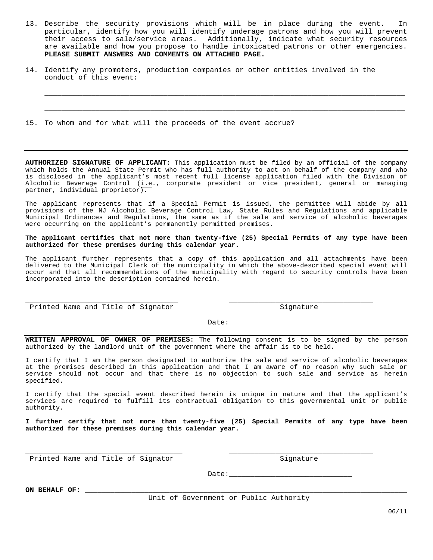13. Describe the security provisions which will be in place during the event. In particular, identify how you will identify underage patrons and how you will prevent their access to sale/service areas. Additionally, indicate what security resources are available and how you propose to handle intoxicated patrons or other emergencies. **PLEASE SUBMIT ANSWERS AND COMMENTS ON ATTACHED PAGE.** 

\_\_\_\_\_\_\_\_\_\_\_\_\_\_\_\_\_\_\_\_\_\_\_\_\_\_\_\_\_\_\_\_\_\_\_\_\_\_\_\_\_\_\_\_\_\_\_\_\_\_\_\_\_\_\_\_\_\_\_\_\_\_\_\_\_\_\_\_\_\_\_\_\_\_\_\_\_\_\_\_\_\_\_\_\_

 $\_$  ,  $\_$  ,  $\_$  ,  $\_$  ,  $\_$  ,  $\_$  ,  $\_$  ,  $\_$  ,  $\_$  ,  $\_$  ,  $\_$  ,  $\_$  ,  $\_$  ,  $\_$  ,  $\_$  ,  $\_$  ,  $\_$  ,  $\_$  ,  $\_$  ,  $\_$  ,  $\_$  ,  $\_$  ,  $\_$  ,  $\_$  ,  $\_$  ,  $\_$  ,  $\_$  ,  $\_$  ,  $\_$  ,  $\_$  ,  $\_$  ,  $\_$  ,  $\_$  ,  $\_$  ,  $\_$  ,  $\_$  ,  $\_$  ,

\_\_\_\_\_\_\_\_\_\_\_\_\_\_\_\_\_\_\_\_\_\_\_\_\_\_\_\_\_\_\_\_\_\_\_\_\_\_\_\_\_\_\_\_\_\_\_\_\_\_\_\_\_\_\_\_\_\_\_\_\_\_\_\_\_\_\_\_\_\_\_\_\_\_\_\_\_\_\_\_\_\_\_\_\_

14. Identify any promoters, production companies or other entities involved in the conduct of this event:

15. To whom and for what will the proceeds of the event accrue?

**AUTHORIZED SIGNATURE OF APPLICANT:** This application must be filed by an official of the company which holds the Annual State Permit who has full authority to act on behalf of the company and who is disclosed in the applicant's most recent full license application filed with the Division of Alcoholic Beverage Control  $(i.e.,$  corporate president or vice president, general or managing partner, individual proprietor).

The applicant represents that if a Special Permit is issued, the permittee will abide by all provisions of the NJ Alcoholic Beverage Control Law, State Rules and Regulations and applicable Municipal Ordinances and Regulations, the same as if the sale and service of alcoholic beverages were occurring on the applicant's permanently permitted premises.

**The applicant certifies that not more than twenty-five (25) Special Permits of any type have been authorized for these premises during this calendar year.** 

The applicant further represents that a copy of this application and all attachments have been delivered to the Municipal Clerk of the municipality in which the above-described special event will occur and that all recommendations of the municipality with regard to security controls have been incorporated into the description contained herein.

\_\_\_\_\_\_\_\_\_\_\_\_\_\_\_\_\_\_\_\_\_\_\_\_\_\_\_\_\_\_\_\_\_\_\_\_ \_\_\_\_\_\_\_\_\_\_\_\_\_\_\_\_\_\_\_\_\_\_\_\_\_\_\_\_\_\_\_\_\_\_

Printed Name and Title of Signator Signature

 $Date:$ 

**WRITTEN APPROVAL OF OWNER OF PREMISES:** The following consent is to be signed by the person authorized by the landlord unit of the government where the affair is to be held.

I certify that I am the person designated to authorize the sale and service of alcoholic beverages at the premises described in this application and that I am aware of no reason why such sale or service should not occur and that there is no objection to such sale and service as herein specified.

I certify that the special event described herein is unique in nature and that the applicant's services are required to fulfill its contractual obligation to this governmental unit or public authority.

**I further certify that not more than twenty-five (25) Special Permits of any type have been authorized for these premises during this calendar year.**

\_\_\_\_\_\_\_\_\_\_\_\_\_\_\_\_\_\_\_\_\_\_\_\_\_\_\_\_\_\_\_\_\_\_\_\_\_ \_\_\_\_\_\_\_\_\_\_\_\_\_\_\_\_\_\_\_\_\_\_\_\_\_\_\_\_\_\_\_\_\_\_

Printed Name and Title of Signator Signature Signature

Date:

**ON BEHALF OF:** \_\_\_\_\_\_\_\_\_\_\_\_\_\_\_\_\_\_\_\_\_\_\_\_\_\_\_\_\_\_\_\_\_\_\_\_\_\_\_\_\_\_\_\_\_\_\_\_\_\_\_\_\_\_\_\_\_\_\_\_\_\_\_\_\_\_\_\_\_\_\_\_\_\_\_\_

Unit of Government or Public Authority